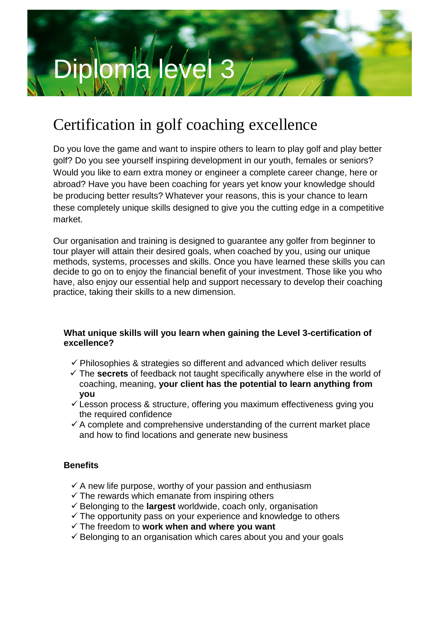

# Certification in golf coaching excellence

Do you love the game and want to inspire others to learn to play golf and play better golf? Do you see yourself inspiring development in our youth, females or seniors? Would you like to earn extra money or engineer a complete career change, here or abroad? Have you have been coaching for years yet know your knowledge should be producing better results? Whatever your reasons, this is your chance to learn these completely unique skills designed to give you the cutting edge in a competitive market.

Our organisation and training is designed to guarantee any golfer from beginner to tour player will attain their desired goals, when coached by you, using our unique methods, systems, processes and skills. Once you have learned these skills you can decide to go on to enjoy the financial benefit of your investment. Those like you who have, also enjoy our essential help and support necessary to develop their coaching practice, taking their skills to a new dimension.

# **What unique skills will you learn when gaining the Level 3-certification of excellence?**

- $\checkmark$  Philosophies & strategies so different and advanced which deliver results
- The **secrets** of feedback not taught specifically anywhere else in the world of coaching, meaning, **your client has the potential to learn anything from you**
- $\checkmark$  Lesson process & structure, offering you maximum effectiveness gying you the required confidence
- $\checkmark$  A complete and comprehensive understanding of the current market place and how to find locations and generate new business

# **Benefits**

- $\checkmark$  A new life purpose, worthy of your passion and enthusiasm
- $\checkmark$  The rewards which emanate from inspiring others
- $\checkmark$  Belonging to the **largest** worldwide, coach only, organisation
- $\checkmark$  The opportunity pass on your experience and knowledge to others
- The freedom to **work when and where you want**
- $\checkmark$  Belonging to an organisation which cares about you and your goals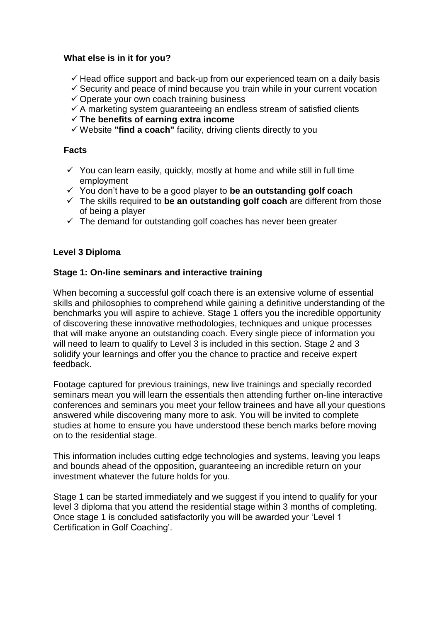#### **What else is in it for you?**

- $\checkmark$  Head office support and back-up from our experienced team on a daily basis
- $\checkmark$  Security and peace of mind because you train while in your current vocation
- $\checkmark$  Operate your own coach training business
- $\checkmark$  A marketing system guaranteeing an endless stream of satisfied clients
- **The benefits of earning extra income**
- Website **"find a coach"** facility, driving clients directly to you

## **Facts**

- $\checkmark$  You can learn easily, quickly, mostly at home and while still in full time employment
- You don't have to be a good player to **be an outstanding golf coach**
- The skills required to **be an outstanding golf coach** are different from those of being a player
- $\checkmark$  The demand for outstanding golf coaches has never been greater

### **Level 3 Diploma**

### **Stage 1: On-line seminars and interactive training**

When becoming a successful golf coach there is an extensive volume of essential skills and philosophies to comprehend while gaining a definitive understanding of the benchmarks you will aspire to achieve. Stage 1 offers you the incredible opportunity of discovering these innovative methodologies, techniques and unique processes that will make anyone an outstanding coach. Every single piece of information you will need to learn to qualify to Level 3 is included in this section. Stage 2 and 3 solidify your learnings and offer you the chance to practice and receive expert feedback.

Footage captured for previous trainings, new live trainings and specially recorded seminars mean you will learn the essentials then attending further on-line interactive conferences and seminars you meet your fellow trainees and have all your questions answered while discovering many more to ask. You will be invited to complete studies at home to ensure you have understood these bench marks before moving on to the residential stage.

This information includes cutting edge technologies and systems, leaving you leaps and bounds ahead of the opposition, guaranteeing an incredible return on your investment whatever the future holds for you.

Stage 1 can be started immediately and we suggest if you intend to qualify for your level 3 diploma that you attend the residential stage within 3 months of completing. Once stage 1 is concluded satisfactorily you will be awarded your 'Level 1 Certification in Golf Coaching'.